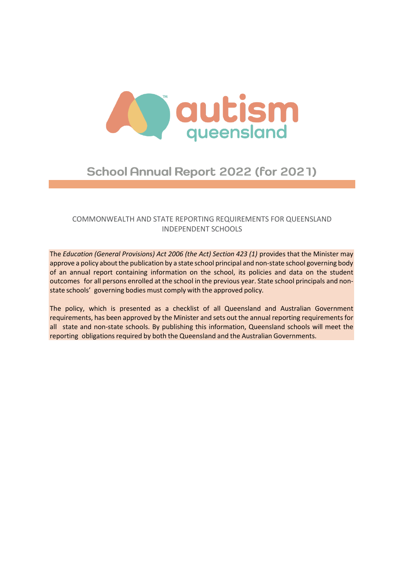

# School Annual Report 2022 (for 2021)

# COMMONWEALTH AND STATE REPORTING REQUIREMENTS FOR QUEENSLAND INDEPENDENT SCHOOLS

The *Education (General Provisions) Act 2006 (the Act) Section 423 (1)* provides that the Minister may approve a policy about the publication by a state school principal and non-state school governing body of an annual report containing information on the school, its policies and data on the student outcomes for all persons enrolled at the school in the previous year. State school principals and nonstate schools' governing bodies must comply with the approved policy*.*

The policy, which is presented as a checklist of all Queensland and Australian Government requirements, has been approved by the Minister and sets out the annual reporting requirements for all state and non-state schools. By publishing this information, Queensland schools will meet the reporting obligations required by both the Queensland and the Australian Governments.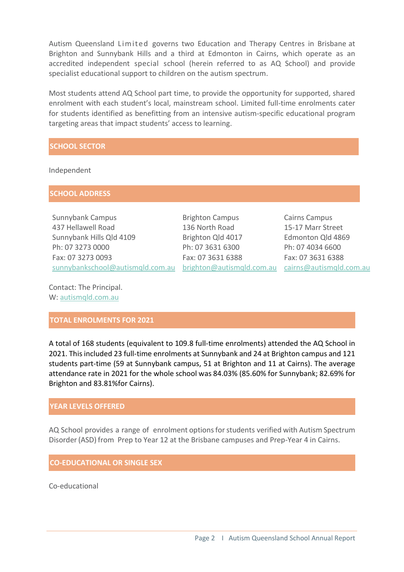Autism Queensland Limit ed governs two Education and Therapy Centres in Brisbane at Brighton and Sunnybank Hills and a third at Edmonton in Cairns, which operate as an accredited independent special school (herein referred to as AQ School) and provide specialist educational support to children on the autism spectrum.

Most students attend AQ School part time, to provide the opportunity for supported, shared enrolment with each student's local, mainstream school. Limited full-time enrolments cater for students identified as benefitting from an intensive autism-specific educational program targeting areas that impact students' access to learning.

# **SCHOOL SECTOR**

Independent

**SCHOOL ADDRESS**

Sunnybank Campus 437 Hellawell Road Sunnybank Hills Qld 4109 Ph: 07 3273 0000 Fax: 07 3273 0093 <u>[sunnybankschool@autismqld.com.au](mailto:sunnybankschool@autismqld.com.au)</u> <u>[brighton@autismqld.com.au](mailto:righton@autismqld.com.au) [cairns@autismqld.com.au](mailto:cairns@autismqld.com.au)</u>

Brighton Campus 136 North Road Brighton Qld 4017 Ph: 07 3631 6300 Fax: 07 3631 6388

Cairns Campus 15-17 Marr Street Edmonton Qld 4869 Ph: 07 4034 6600 Fax: 07 3631 6388

Contact: The Principal. W: [autismqld.com.au](http://www.autismqld.com.au/)

# **TOTAL ENROLMENTS FOR 2021**

A total of 168 students (equivalent to 109.8 full-time enrolments) attended the AQ School in 2021. This included 23 full-time enrolments at Sunnybank and 24 at Brighton campus and 121 students part-time (59 at Sunnybank campus, 51 at Brighton and 11 at Cairns). The average attendance rate in 2021 for the whole school was 84.03% (85.60% for Sunnybank; 82.69% for Brighton and 83.81%for Cairns).

# **YEAR LEVELS OFFERED**

AQ School provides a range of enrolment options for students verified with Autism Spectrum Disorder(ASD) from Prep to Year 12 at the Brisbane campuses and Prep-Year 4 in Cairns.

# **CO-EDUCATIONAL OR SINGLE SEX**

Co-educational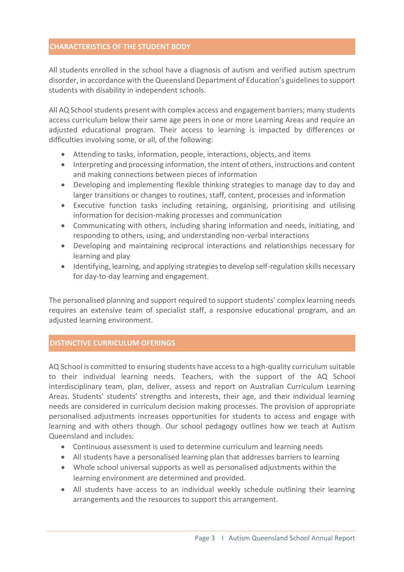#### **CHARACTERISTICS OF THE STUDENT BODY**

All students enrolled in the school have a diagnosis of autism and verified autism spectrum disorder, in accordance with the Queensland Department of Education's guidelines to support students with disability in independent schools.

All AQ School students present with complex access and engagement barriers; many students access curriculum below their same age peers in one or more Learning Areas and require an adjusted educational program. Their access to learning is impacted by differences or difficulties involving some, or all, of the following:

- Attending to tasks, information, people, interactions, objects, and items
- Interpreting and processing information, the intent of others, instructions and content and making connections between pieces of information
- Developing and implementing flexible thinking strategies to manage day to day and larger transitions or changes to routines, staff, content, processes and information
- Executive function tasks including retaining, organising, prioritising and utilising information for decision-making processes and communication
- Communicating with others, including sharing information and needs, initiating, and responding to others, using, and understanding non-verbal interactions
- Developing and maintaining reciprocal interactions and relationships necessary for learning and play
- Identifying, learning, and applying strategies to develop self-regulation skills necessary for day-to-day learning and engagement.

The personalised planning and support required to support students' complex learning needs requires an extensive team of specialist staff, a responsive educational program, and an adjusted learning environment.

# **DISTINCTIVE CURRICULUM OFERINGS**

AQ School is committed to ensuring students have access to a high-quality curriculum suitable to their individual learning needs. Teachers, with the support of the AQ School interdisciplinary team, plan, deliver, assess and report on Australian Curriculum Learning Areas. Students' students' strengths and interests, their age, and their individual learning needs are considered in curriculum decision making processes. The provision of appropriate personalised adjustments increases opportunities for students to access and engage with learning and with others though. Our school pedagogy outlines how we teach at Autism Queensland and includes:

- Continuous assessment is used to determine curriculum and learning needs
- All students have a personalised learning plan that addresses barriers to learning
- Whole school universal supports as well as personalised adjustments within the learning environment are determined and provided.
- All students have access to an individual weekly schedule outlining their learning arrangements and the resources to support this arrangement.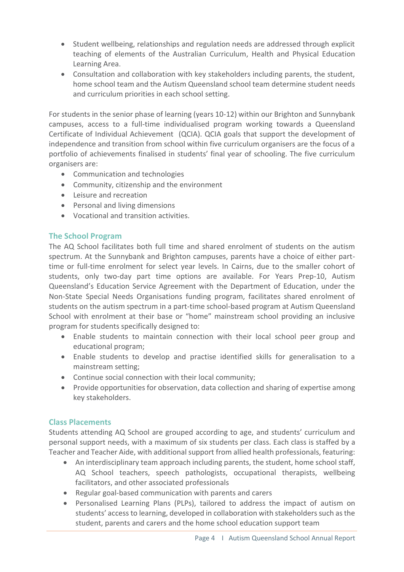- Student wellbeing, relationships and regulation needs are addressed through explicit teaching of elements of the Australian Curriculum, Health and Physical Education Learning Area.
- Consultation and collaboration with key stakeholders including parents, the student, home school team and the Autism Queensland school team determine student needs and curriculum priorities in each school setting.

For students in the senior phase of learning (years 10-12) within our Brighton and Sunnybank campuses, access to a full-time individualised program working towards a Queensland Certificate of Individual Achievement (QCIA). QCIA goals that support the development of independence and transition from school within five curriculum organisers are the focus of a portfolio of achievements finalised in students' final year of schooling. The five curriculum organisers are:

- Communication and technologies
- Community, citizenship and the environment
- Leisure and recreation
- Personal and living dimensions
- Vocational and transition activities.

# **The School Program**

The AQ School facilitates both full time and shared enrolment of students on the autism spectrum. At the Sunnybank and Brighton campuses, parents have a choice of either parttime or full-time enrolment for select year levels. In Cairns, due to the smaller cohort of students, only two-day part time options are available. For Years Prep-10, Autism Queensland's Education Service Agreement with the Department of Education, under the Non-State Special Needs Organisations funding program, facilitates shared enrolment of students on the autism spectrum in a part-time school-based program at Autism Queensland School with enrolment at their base or "home" mainstream school providing an inclusive program for students specifically designed to:

- Enable students to maintain connection with their local school peer group and educational program;
- Enable students to develop and practise identified skills for generalisation to a mainstream setting;
- Continue social connection with their local community;
- Provide opportunities for observation, data collection and sharing of expertise among key stakeholders.

# **Class Placements**

Students attending AQ School are grouped according to age, and students' curriculum and personal support needs, with a maximum of six students per class. Each class is staffed by a Teacher and Teacher Aide, with additional support from allied health professionals, featuring:

- An interdisciplinary team approach including parents, the student, home school staff, AQ School teachers, speech pathologists, occupational therapists, wellbeing facilitators, and other associated professionals
- Regular goal-based communication with parents and carers
- Personalised Learning Plans (PLPs), tailored to address the impact of autism on students' access to learning, developed in collaboration with stakeholders such as the student, parents and carers and the home school education support team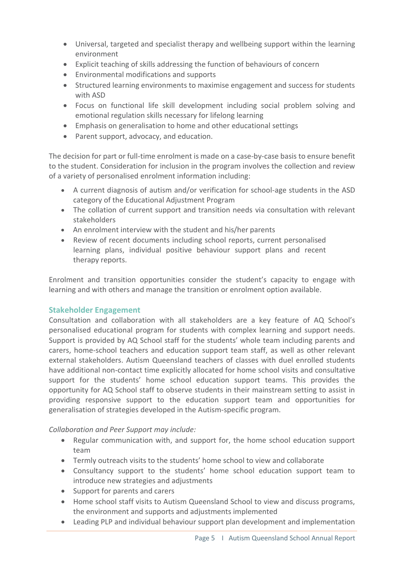- Universal, targeted and specialist therapy and wellbeing support within the learning environment
- Explicit teaching of skills addressing the function of behaviours of concern
- Environmental modifications and supports
- Structured learning environments to maximise engagement and success for students with ASD
- Focus on functional life skill development including social problem solving and emotional regulation skills necessary for lifelong learning
- Emphasis on generalisation to home and other educational settings
- Parent support, advocacy, and education.

The decision for part or full-time enrolment is made on a case-by-case basis to ensure benefit to the student. Consideration for inclusion in the program involves the collection and review of a variety of personalised enrolment information including:

- A current diagnosis of autism and/or verification for school-age students in the ASD category of the Educational Adjustment Program
- The collation of current support and transition needs via consultation with relevant stakeholders
- An enrolment interview with the student and his/her parents
- Review of recent documents including school reports, current personalised learning plans, individual positive behaviour support plans and recent therapy reports.

Enrolment and transition opportunities consider the student's capacity to engage with learning and with others and manage the transition or enrolment option available.

# **Stakeholder Engagement**

Consultation and collaboration with all stakeholders are a key feature of AQ School's personalised educational program for students with complex learning and support needs. Support is provided by AQ School staff for the students' whole team including parents and carers, home-school teachers and education support team staff, as well as other relevant external stakeholders. Autism Queensland teachers of classes with duel enrolled students have additional non-contact time explicitly allocated for home school visits and consultative support for the students' home school education support teams. This provides the opportunity for AQ School staff to observe students in their mainstream setting to assist in providing responsive support to the education support team and opportunities for generalisation of strategies developed in the Autism-specific program.

# *Collaboration and Peer Support may include:*

- Regular communication with, and support for, the home school education support team
- Termly outreach visits to the students' home school to view and collaborate
- Consultancy support to the students' home school education support team to introduce new strategies and adjustments
- Support for parents and carers
- Home school staff visits to Autism Queensland School to view and discuss programs, the environment and supports and adjustments implemented
- Leading PLP and individual behaviour support plan development and implementation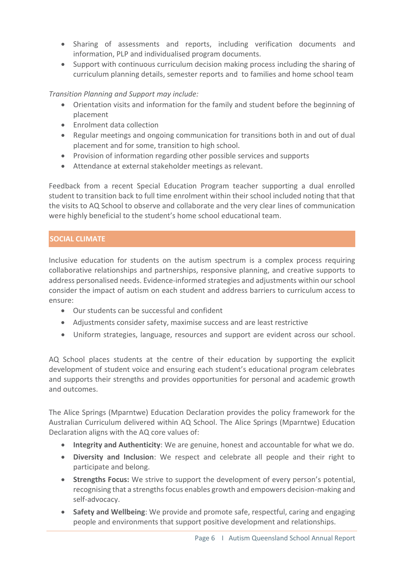- Sharing of assessments and reports, including verification documents and information, PLP and individualised program documents.
- Support with continuous curriculum decision making process including the sharing of curriculum planning details, semester reports and to families and home school team

*Transition Planning and Support may include:*

- Orientation visits and information for the family and student before the beginning of placement
- Enrolment data collection
- Regular meetings and ongoing communication for transitions both in and out of dual placement and for some, transition to high school.
- Provision of information regarding other possible services and supports
- Attendance at external stakeholder meetings as relevant.

Feedback from a recent Special Education Program teacher supporting a dual enrolled student to transition back to full time enrolment within their school included noting that that the visits to AQ School to observe and collaborate and the very clear lines of communication were highly beneficial to the student's home school educational team.

# **SOCIAL CLIMATE**

Inclusive education for students on the autism spectrum is a complex process requiring collaborative relationships and partnerships, responsive planning, and creative supports to address personalised needs. Evidence-informed strategies and adjustments within our school consider the impact of autism on each student and address barriers to curriculum access to ensure:

- Our students can be successful and confident
- Adjustments consider safety, maximise success and are least restrictive
- Uniform strategies, language, resources and support are evident across our school.

AQ School places students at the centre of their education by supporting the explicit development of student voice and ensuring each student's educational program celebrates and supports their strengths and provides opportunities for personal and academic growth and outcomes.

The Alice Springs (Mparntwe) Education Declaration provides the policy framework for the Australian Curriculum delivered within AQ School. The Alice Springs (Mparntwe) Education Declaration aligns with the AQ core values of:

- **Integrity and Authenticity**: We are genuine, honest and accountable for what we do.
- **Diversity and Inclusion**: We respect and celebrate all people and their right to participate and belong.
- **Strengths Focus:** We strive to support the development of every person's potential, recognising that a strengths focus enables growth and empowers decision-making and self-advocacy.
- **Safety and Wellbeing**: We provide and promote safe, respectful, caring and engaging people and environments that support positive development and relationships.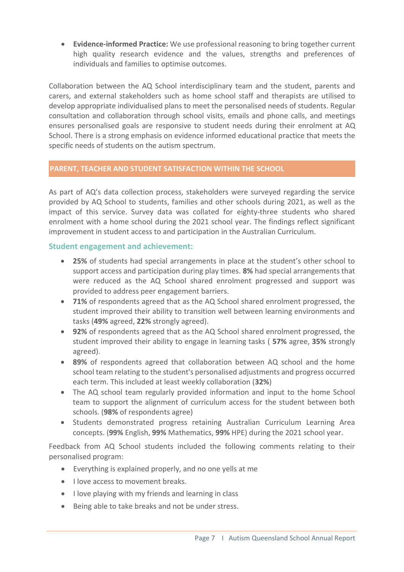• **Evidence-informed Practice:** We use professional reasoning to bring together current high quality research evidence and the values, strengths and preferences of individuals and families to optimise outcomes.

Collaboration between the AQ School interdisciplinary team and the student, parents and carers, and external stakeholders such as home school staff and therapists are utilised to develop appropriate individualised plans to meet the personalised needs of students. Regular consultation and collaboration through school visits, emails and phone calls, and meetings ensures personalised goals are responsive to student needs during their enrolment at AQ School. There is a strong emphasis on evidence informed educational practice that meets the specific needs of students on the autism spectrum.

# **PARENT, TEACHER AND STUDENT SATISFACTION WITHIN THE SCHOOL**

As part of AQ's data collection process, stakeholders were surveyed regarding the service provided by AQ School to students, families and other schools during 2021, as well as the impact of this service. Survey data was collated for eighty-three students who shared enrolment with a home school during the 2021 school year. The findings reflect significant improvement in student access to and participation in the Australian Curriculum.

# **Student engagement and achievement:**

- **25%** of students had special arrangements in place at the student's other school to support access and participation during play times. **8%** had special arrangements that were reduced as the AQ School shared enrolment progressed and support was provided to address peer engagement barriers.
- **71%** of respondents agreed that as the AQ School shared enrolment progressed, the student improved their ability to transition well between learning environments and tasks (**49%** agreed, **22%** strongly agreed).
- **92%** of respondents agreed that as the AQ School shared enrolment progressed, the student improved their ability to engage in learning tasks ( **57%** agree, **35%** strongly agreed).
- **89%** of respondents agreed that collaboration between AQ school and the home school team relating to the student's personalised adjustments and progress occurred each term. This included at least weekly collaboration (**32%**)
- The AQ school team regularly provided information and input to the home School team to support the alignment of curriculum access for the student between both schools. (**98%** of respondents agree)
- Students demonstrated progress retaining Australian Curriculum Learning Area concepts. (**99%** English, **99%** Mathematics, **99%** HPE) during the 2021 school year.

Feedback from AQ School students included the following comments relating to their personalised program:

- Everything is explained properly, and no one yells at me
- I love access to movement breaks.
- I love playing with my friends and learning in class
- Being able to take breaks and not be under stress.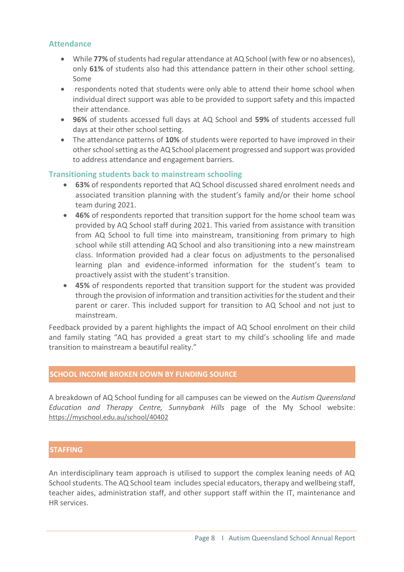# **Attendance**

- While **77%** of students had regular attendance at AQ School (with few or no absences), only **61%** of students also had this attendance pattern in their other school setting. Some
- respondents noted that students were only able to attend their home school when individual direct support was able to be provided to support safety and this impacted their attendance.
- **96%** of students accessed full days at AQ School and **59%** of students accessed full days at their other school setting.
- The attendance patterns of **10%** of students were reported to have improved in their other school setting as the AQ School placement progressed and support was provided to address attendance and engagement barriers.

#### **Transitioning students back to mainstream schooling**

- **63%** of respondents reported that AQ School discussed shared enrolment needs and associated transition planning with the student's family and/or their home school team during 2021.
- **46%** of respondents reported that transition support for the home school team was provided by AQ School staff during 2021. This varied from assistance with transition from AQ School to full time into mainstream, transitioning from primary to high school while still attending AQ School and also transitioning into a new mainstream class. Information provided had a clear focus on adjustments to the personalised learning plan and evidence-informed information for the student's team to proactively assist with the student's transition.
- **45%** of respondents reported that transition support for the student was provided through the provision of information and transition activities for the student and their parent or carer. This included support for transition to AQ School and not just to mainstream.

Feedback provided by a parent highlights the impact of AQ School enrolment on their child and family stating "AQ has provided a great start to my child's schooling life and made transition to mainstream a beautiful reality."

#### **SCHOOL INCOME BROKEN DOWN BY FUNDING SOURCE**

A breakdown of AQ School funding for all campuses can be viewed on the *Autism Queensland Education and Therapy Centre, Sunnybank Hills* page of the My School website: <https://myschool.edu.au/school/40402>

#### **STAFFING**

An interdisciplinary team approach is utilised to support the complex leaning needs of AQ School students. The AQ School team includes special educators, therapy and wellbeing staff, teacher aides, administration staff, and other support staff within the IT, maintenance and HR services.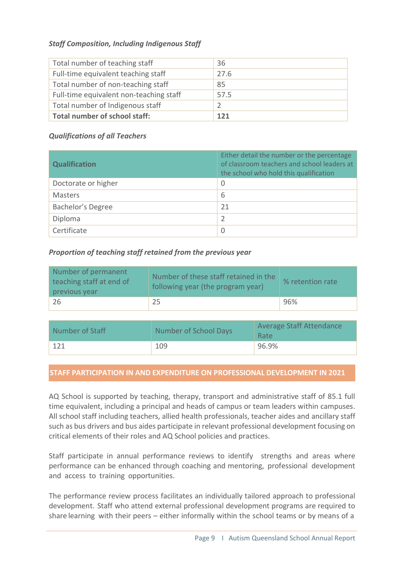# *Staff Composition, Including Indigenous Staff*

| Total number of teaching staff          | 36   |
|-----------------------------------------|------|
| Full-time equivalent teaching staff     | 27.6 |
| Total number of non-teaching staff      | 85   |
| Full-time equivalent non-teaching staff | 57.5 |
| Total number of Indigenous staff        |      |
| <b>Total number of school staff:</b>    | 121  |

# *Qualifications of all Teachers*

| <b>Qualification</b> | Either detail the number or the percentage<br>of classroom teachers and school leaders at<br>the school who hold this qualification |
|----------------------|-------------------------------------------------------------------------------------------------------------------------------------|
| Doctorate or higher  | 0                                                                                                                                   |
| Masters              | 6                                                                                                                                   |
| Bachelor's Degree    | 21                                                                                                                                  |
| Diploma              | 2                                                                                                                                   |
| Certificate          | $\mathbf 0$                                                                                                                         |

# *Proportion of teaching staff retained from the previous year*

| Number of permanent<br>teaching staff at end of<br>previous year | Number of these staff retained in the<br>following year (the program year) | % retention rate |
|------------------------------------------------------------------|----------------------------------------------------------------------------|------------------|
| -26                                                              | 25                                                                         | 96%              |

| Number of Staff | Number of School Days | Average Staff Attendance<br><b>Rate</b> |
|-----------------|-----------------------|-----------------------------------------|
| 121             | 109                   | 96.9%                                   |

# **STAFF PARTICIPATION IN AND EXPENDITURE ON PROFESSIONAL DEVELOPMENT IN 2021**

AQ School is supported by teaching, therapy, transport and administrative staff of 85.1 full time equivalent, including a principal and heads of campus or team leaders within campuses. All school staff including teachers, allied health professionals, teacher aides and ancillary staff such as bus drivers and bus aides participate in relevant professional development focusing on critical elements of their roles and AQ School policies and practices.

Staff participate in annual performance reviews to identify strengths and areas where performance can be enhanced through coaching and mentoring, professional development and access to training opportunities.

The performance review process facilitates an individually tailored approach to professional development. Staff who attend external professional development programs are required to share learning with their peers – either informally within the school teams or by means of a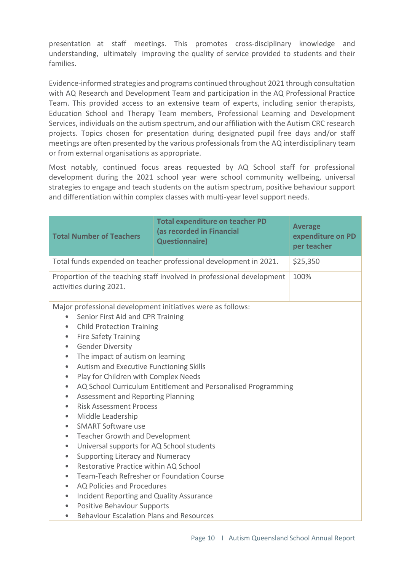presentation at staff meetings. This promotes cross-disciplinary knowledge and understanding, ultimately improving the quality of service provided to students and their families.

Evidence-informed strategies and programs continued throughout 2021 through consultation with AQ Research and Development Team and participation in the AQ Professional Practice Team. This provided access to an extensive team of experts, including senior therapists, Education School and Therapy Team members, Professional Learning and Development Services, individuals on the autism spectrum, and our affiliation with the Autism CRC research projects. Topics chosen for presentation during designated pupil free days and/or staff meetings are often presented by the various professionals from the AQ interdisciplinary team or from external organisations as appropriate.

Most notably, continued focus areas requested by AQ School staff for professional development during the 2021 school year were school community wellbeing, universal strategies to engage and teach students on the autism spectrum, positive behaviour support and differentiation within complex classes with multi-year level support needs.

| <b>Total Number of Teachers</b>                                                                                                                                                                                                                                                                                                                                                                                                                                                                                                                                                                                                                                                                                                                                                                                                                                                                                                                                                                                                                                                                                                                                   | <b>Total expenditure on teacher PD</b><br>(as recorded in Financial<br><b>Questionnaire)</b> | <b>Average</b><br>expenditure on PD<br>per teacher |  |
|-------------------------------------------------------------------------------------------------------------------------------------------------------------------------------------------------------------------------------------------------------------------------------------------------------------------------------------------------------------------------------------------------------------------------------------------------------------------------------------------------------------------------------------------------------------------------------------------------------------------------------------------------------------------------------------------------------------------------------------------------------------------------------------------------------------------------------------------------------------------------------------------------------------------------------------------------------------------------------------------------------------------------------------------------------------------------------------------------------------------------------------------------------------------|----------------------------------------------------------------------------------------------|----------------------------------------------------|--|
| Total funds expended on teacher professional development in 2021.                                                                                                                                                                                                                                                                                                                                                                                                                                                                                                                                                                                                                                                                                                                                                                                                                                                                                                                                                                                                                                                                                                 |                                                                                              | \$25,350                                           |  |
| Proportion of the teaching staff involved in professional development<br>activities during 2021.                                                                                                                                                                                                                                                                                                                                                                                                                                                                                                                                                                                                                                                                                                                                                                                                                                                                                                                                                                                                                                                                  | 100%                                                                                         |                                                    |  |
| Major professional development initiatives were as follows:<br>Senior First Aid and CPR Training<br>$\bullet$<br>• Child Protection Training<br><b>Fire Safety Training</b><br>$\bullet$<br><b>Gender Diversity</b><br>$\bullet$<br>The impact of autism on learning<br>$\bullet$<br>Autism and Executive Functioning Skills<br>$\bullet$<br>Play for Children with Complex Needs<br>$\bullet$<br>AQ School Curriculum Entitlement and Personalised Programming<br>$\bullet$<br>Assessment and Reporting Planning<br>$\bullet$<br><b>Risk Assessment Process</b><br>$\bullet$<br>Middle Leadership<br>$\bullet$<br><b>SMART Software use</b><br>$\bullet$<br><b>Teacher Growth and Development</b><br>$\bullet$<br>Universal supports for AQ School students<br>$\bullet$<br>Supporting Literacy and Numeracy<br>$\bullet$<br>Restorative Practice within AQ School<br>$\bullet$<br>Team-Teach Refresher or Foundation Course<br>$\bullet$<br>AQ Policies and Procedures<br>$\bullet$<br>Incident Reporting and Quality Assurance<br>$\bullet$<br><b>Positive Behaviour Supports</b><br>$\bullet$<br><b>Behaviour Escalation Plans and Resources</b><br>$\bullet$ |                                                                                              |                                                    |  |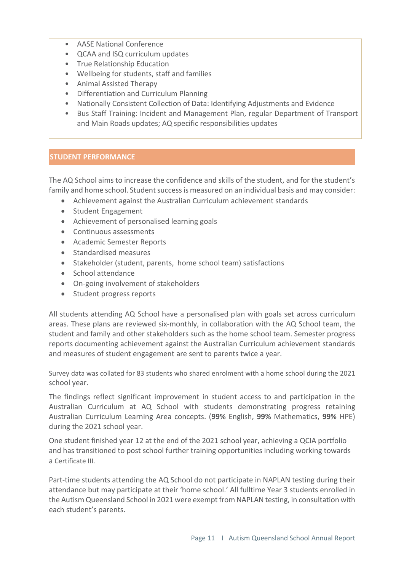- AASE National Conference
- QCAA and ISQ curriculum updates
- True Relationship Education
- Wellbeing for students, staff and families
- Animal Assisted Therapy
- Differentiation and Curriculum Planning
- Nationally Consistent Collection of Data: Identifying Adjustments and Evidence
- Bus Staff Training: Incident and Management Plan, regular Department of Transport and Main Roads updates; AQ specific responsibilities updates

# **STUDENT PERFORMANCE**

The AQ School aims to increase the confidence and skills of the student, and for the student's family and home school. Student success is measured on an individual basis and may consider:

- Achievement against the Australian Curriculum achievement standards
- Student Engagement
- Achievement of personalised learning goals
- Continuous assessments
- Academic Semester Reports
- Standardised measures
- Stakeholder (student, parents, home school team) satisfactions
- School attendance
- On-going involvement of stakeholders
- Student progress reports

All students attending AQ School have a personalised plan with goals set across curriculum areas. These plans are reviewed six-monthly, in collaboration with the AQ School team, the student and family and other stakeholders such as the home school team. Semester progress reports documenting achievement against the Australian Curriculum achievement standards and measures of student engagement are sent to parents twice a year.

Survey data was collated for 83 students who shared enrolment with a home school during the 2021 school year.

The findings reflect significant improvement in student access to and participation in the Australian Curriculum at AQ School with students demonstrating progress retaining Australian Curriculum Learning Area concepts. (**99%** English, **99%** Mathematics, **99%** HPE) during the 2021 school year.

One student finished year 12 at the end of the 2021 school year, achieving a QCIA portfolio and has transitioned to post school further training opportunities including working towards a Certificate III.

Part-time students attending the AQ School do not participate in NAPLAN testing during their attendance but may participate at their 'home school.' All fulltime Year 3 students enrolled in the Autism Queensland School in 2021 were exempt from NAPLAN testing, in consultation with each student's parents.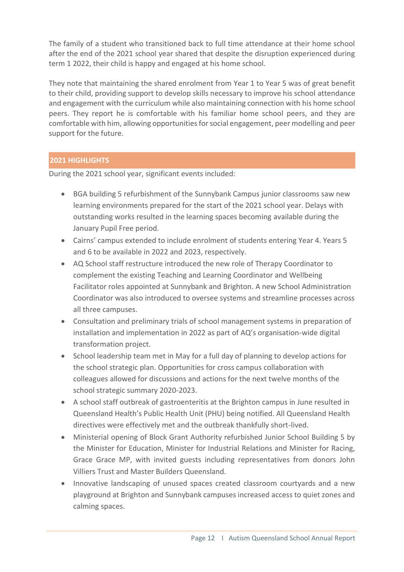The family of a student who transitioned back to full time attendance at their home school after the end of the 2021 school year shared that despite the disruption experienced during term 1 2022, their child is happy and engaged at his home school.

They note that maintaining the shared enrolment from Year 1 to Year 5 was of great benefit to their child, providing support to develop skills necessary to improve his school attendance and engagement with the curriculum while also maintaining connection with his home school peers. They report he is comfortable with his familiar home school peers, and they are comfortable with him, allowing opportunities for social engagement, peer modelling and peer support for the future.

# **2021 HIGHLIGHTS**

During the 2021 school year, significant events included:

- BGA building 5 refurbishment of the Sunnybank Campus junior classrooms saw new learning environments prepared for the start of the 2021 school year. Delays with outstanding works resulted in the learning spaces becoming available during the January Pupil Free period.
- Cairns' campus extended to include enrolment of students entering Year 4. Years 5 and 6 to be available in 2022 and 2023, respectively.
- AQ School staff restructure introduced the new role of Therapy Coordinator to complement the existing Teaching and Learning Coordinator and Wellbeing Facilitator roles appointed at Sunnybank and Brighton. A new School Administration Coordinator was also introduced to oversee systems and streamline processes across all three campuses.
- Consultation and preliminary trials of school management systems in preparation of installation and implementation in 2022 as part of AQ's organisation-wide digital transformation project.
- School leadership team met in May for a full day of planning to develop actions for the school strategic plan. Opportunities for cross campus collaboration with colleagues allowed for discussions and actions for the next twelve months of the school strategic summary 2020-2023.
- A school staff outbreak of gastroenteritis at the Brighton campus in June resulted in Queensland Health's Public Health Unit (PHU) being notified. All Queensland Health directives were effectively met and the outbreak thankfully short-lived.
- Ministerial opening of Block Grant Authority refurbished Junior School Building 5 by the Minister for Education, Minister for Industrial Relations and Minister for Racing, Grace Grace MP, with invited guests including representatives from donors John Villiers Trust and Master Builders Queensland.
- Innovative landscaping of unused spaces created classroom courtyards and a new playground at Brighton and Sunnybank campuses increased access to quiet zones and calming spaces.